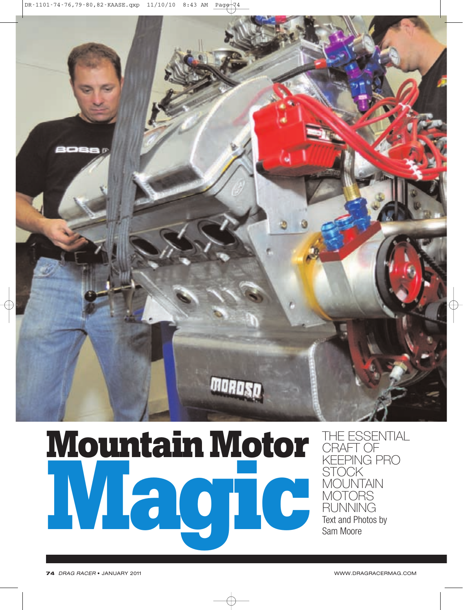

## **MountainMotor Magic**

THE ESSENTIAL CRAFT OF KEEPING PRO STOCK MOUNTAIN MOTORS RUNNING Text and Photos by Sam Moore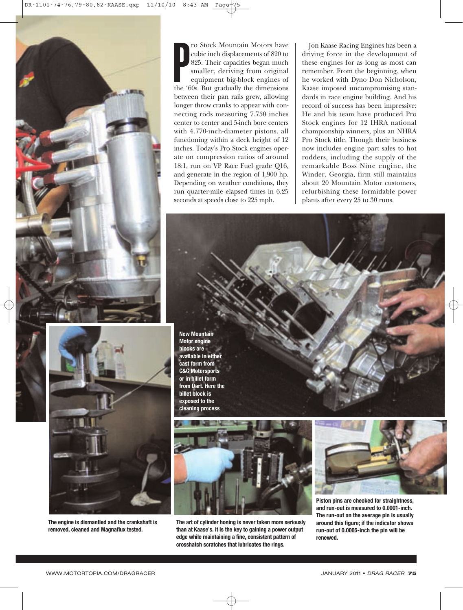



**The engine is dismantled and the crankshaft is removed, cleaned and Magnaflux tested.**

France Contain Motors have<br>
cubic inch displacements of 820 to<br>
825. Their capacities began much<br>
smaller, deriving from original<br>
equipment big-block engines of<br>
the '60s. But gradually the dimensions ro Stock Mountain Motors have cubic inch displacements of 820 to 825. Their capacities began much smaller, deriving from original equipment big-block engines of between their pan rails grew, allowing longer throw cranks to appear with connecting rods measuring 7.750 inches center to center and 5-inch bore centers with 4.770-inch-diameter pistons, all functioning within a deck height of 12 inches. Today's Pro Stock engines operate on compression ratios of around 18:1, run on VP Race Fuel grade Q16, and generate in the region of 1,900 hp. Depending on weather conditions, they run quarter-mile elapsed times in 6.25 seconds at speeds close to 225 mph.

Jon Kaase Racing Engines has been a driving force in the development of these engines for as long as most can remember. From the beginning, when he worked with Dyno Don Nicholson, Kaase imposed uncompromising standards in race engine building. And his record of success has been impressive: He and his team have produced Pro Stock engines for 12 IHRA national championship winners, plus an NHRA Pro Stock title. Though their business now includes engine part sales to hot rodders, including the supply of the remarkable Boss Nine engine, the Winder, Georgia, firm still maintains about 20 Mountain Motor customers, refurbishing these formidable power plants after every 25 to 30 runs.

**New Mountain Motor engine blocks are available in either cast form from C&C Motorsports or in billet form from Dart. Here the billet block is exposed to the cleaning process**



**The art of cylinder honing is never taken more seriously than at Kaase's. It is the key to gaining a power output edge while maintaining a fine, consistent pattern of crosshatch scratches that lubricates the rings.**



**Piston pins are checked for straightness, and run-out is measured to 0.0001-inch. The run-out on the average pin is usually around this figure; if the indicator shows run-out of 0.0005-inch the pin will be renewed.**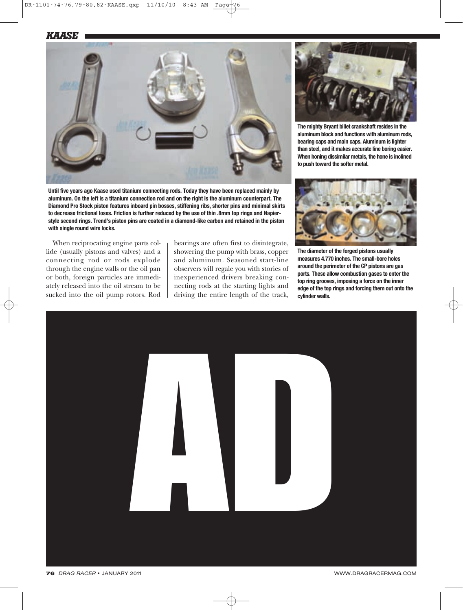*KAASE*



**Until five years ago Kaase used titanium connecting rods. Today they have been replaced mainly by aluminum. On the left is a titanium connection rod and on the right is the aluminum counterpart. The Diamond Pro Stock piston features inboard pin bosses, stiffening ribs, shorter pins and minimal skirts to decrease frictional loses. Friction is further reduced by the use of thin .8mm top rings and Napierstyle second rings. Trend's piston pins are coated in a diamond-like carbon and retained in the piston with single round wire locks.**

When reciprocating engine parts collide (usually pistons and valves) and a connecting rod or rods explode through the engine walls or the oil pan or both, foreign particles are immediately released into the oil stream to be sucked into the oil pump rotors. Rod bearings are often first to disintegrate, showering the pump with brass, copper and aluminum. Seasoned start-line observers will regale you with stories of inexperienced drivers breaking connecting rods at the starting lights and driving the entire length of the track,



**The mighty Bryant billet crankshaft resides in the aluminum block and functions with aluminum rods, bearing caps and main caps. Aluminum is lighter than steel, and it makes accurate line boring easier. When honing dissimilar metals, the hone is inclined to push toward the softer metal.**



**The diameter of the forged pistons usually measures 4.770 inches. The small-bore holes around the perimeter of the CP pistons are gas ports. These allow combustion gases to enter the top ring grooves, imposing a force on the inner edge of the top rings and forcing them out onto the cylinder walls.**

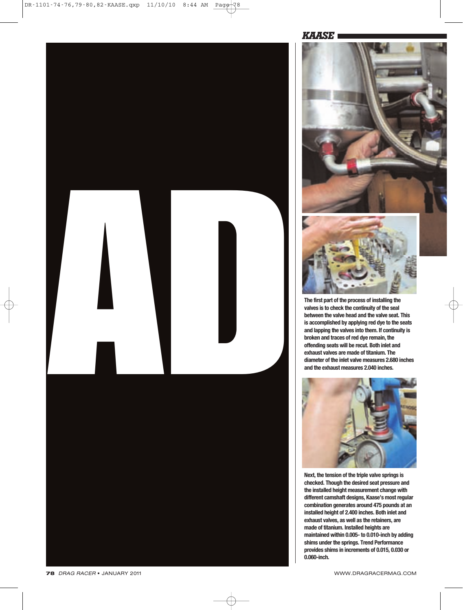



**valves is to check the continuity of the seal between the valve head and the valve seat. This is accomplished by applying red dye to the seats and lapping the valves into them. If continuity is broken and traces of red dye remain, the offending seats will be recut. Both inlet and exhaust valves are made of titanium. The diameter of the inlet valve measures 2.680 inches and the exhaust measures 2.040 inches.**



**Next, the tension of the triple valve springs is checked. Though the desired seat pressure and the installed height measurement change with different camshaft designs, Kaase's most regular combination generates around 475 pounds at an installed height of 2.400 inches. Both inlet and exhaust valves, as well as the retainers, are made of titanium. Installed heights are maintained within 0.005- to 0.010-inch by adding shims under the springs. Trend Performance provides shims in increments of 0.015, 0.030 or 0.060-inch.**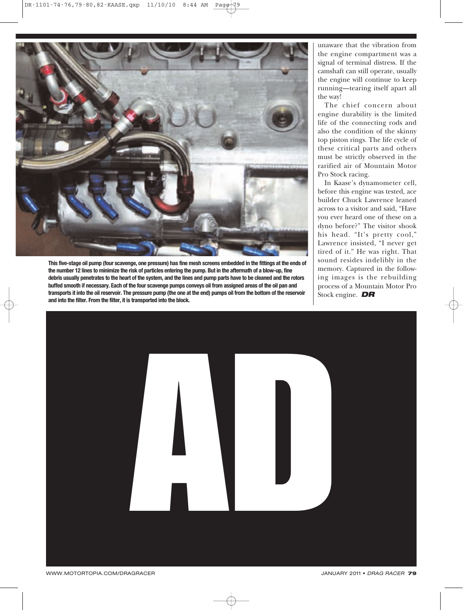

**This five-stage oil pump (four scavenge, one pressure) has fine mesh screens embedded in the fittings at the ends of the number 12 lines to minimize the risk of particles entering the pump. But in the aftermath of a blow-up, fine debris usually penetrates to the heart of the system, and the lines and pump parts have to be cleaned and the rotors buffed smooth if necessary. Each of the four scavenge pumps conveys oil from assigned areas of the oil pan and transports it into the oil reservoir. The pressure pump (the one at the end) pumps oil from the bottom of the reservoir and into the filter. From the filter, it is transported into the block.** 

unaware that the vibration from the engine compartment was a signal of terminal distress. If the camshaft can still operate, usually the engine will continue to keep running—tearing itself apart all the way!

The chief concern about engine durability is the limited life of the connecting rods and also the condition of the skinny top piston rings. The life cycle of these critical parts and others must be strictly observed in the rarified air of Mountain Motor Pro Stock racing.

In Kaase's dynamometer cell, before this engine was tested, ace builder Chuck Lawrence leaned across to a visitor and said, "Have you ever heard one of these on a dyno before?" The visitor shook his head. "It's pretty cool," Lawrence insisted, "I never get tired of it." He was right. That sound resides indelibly in the memory. Captured in the following images is the rebuilding process of a Mountain Motor Pro Stock engine. *DR*

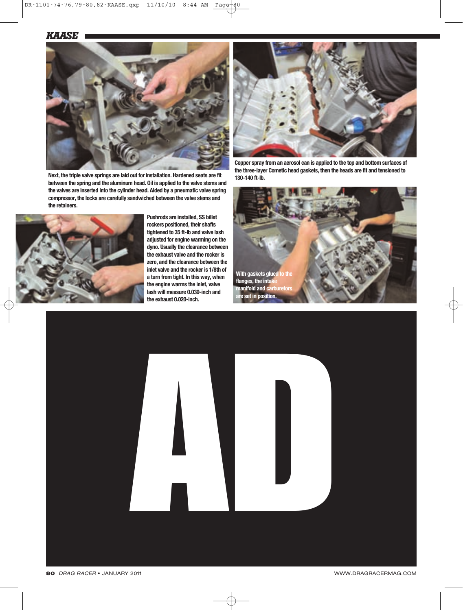

**Next, the triple valve springs are laid out for installation. Hardened seats are fit between the spring and the aluminum head. Oil is applied to the valve stems and the valves are inserted into the cylinder head. Aided by a pneumatic valve spring compressor, the locks are carefully sandwiched between the valve stems and the retainers.**



**Pushrods are installed, SS billet rockers positioned, their shafts tightened to 35 ft-lb and valve lash adjusted for engine warming on the dyno. Usually the clearance between the exhaust valve and the rocker is zero, and the clearance between the inlet valve and the rocker is 1/8th of a turn from tight. In this way, when the engine warms the inlet, valve lash will measure 0.030-inch and the exhaust 0.020-inch.**



**Copper spray from an aerosol can is applied to the top and bottom surfaces of the three-layer Cometic head gaskets, then the heads are fit and tensioned to 130-140 ft-lb.**